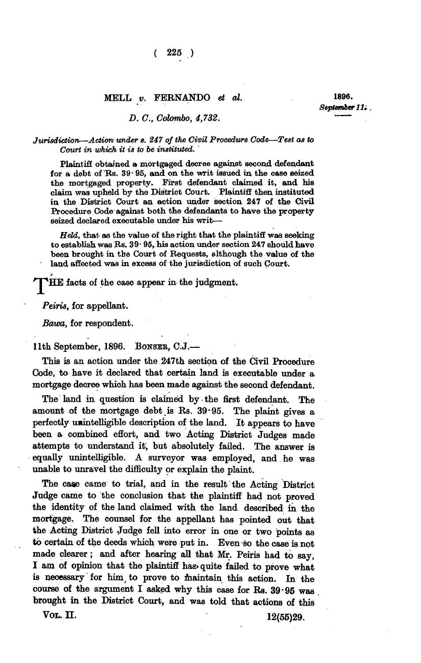## **MELL** *v.* **FERNANDO** *et al.*

*D. C, Colombo, 4,732.* 

*Jurisdiction—Action under s. 247 of the Civil Procedure Code—-Test as to Court in which it is to be instituted.* 

**Plaintiff obtained a mortgaged decree against second defendant for a debt of'Rs. 39- 95, and on the writ issued in the case seized the mortgaged property. First defendant claimed it, and his claim was upheld by the District Court. Plaintiff then instituted in the District Court an action under section 247 of the Civil Procedure Code'against both the defendants to have the property seized declared executable under his writ—** 

*Meld,* **that as the value of the right that the plaintiff was seeking to establish was Rs. 39-95, his action under section 247 should have been brought in the Court of Requests, although the value of the land affected was in excess of the jurisdiction of such Court.** 

THE facts of the case appear in the judgment.

*Peiris,* **for appellant.** 

*Bawa,* **for respondent.** 

**11th September, 1896. BONSEB , C.J.—** 

**This is an action under the 247th section of the Civil Procedure Code, to have it declared that certain land is executable under a mortgage decree which has been made against the second defendant.** 

**The land in question is claimed by • the first defendant. The amount of the mortgage debt is Rs. 39-95. The plaint gives a**  perfectly unintelligible description of the land. It appears to have **been a combined effort, and two Acting District Judges made**  attempts to understand it, but absolutely failed. The answer is equally unintelligible. A surveyor was employed, and he was **unable to unravel the difficulty or explain the plaint.** 

**The case came to trial, and in the result the Acting District Judge came to the conclusion that the plaintiff had not proved the identity of the land claimed with the land described in the mortgage. The counsel for the appellant has pointed out that the Acting District Judge fell into error in one or two points as**  to certain of the deeds which were put in. Even so the case is not **made clearer; and after hearing all that Mr. Peiris had to say, I am of opinion that the plaintiff has» quite failed to prove what is necessary for him, to prove to maintain this action. In the course of the argument I asked why this case for Rs. 39-95 was brought in the District Court, and was told that actions of this** 

**VOL. II. 12(55)29.** 

**1896.**  *September Hi .*